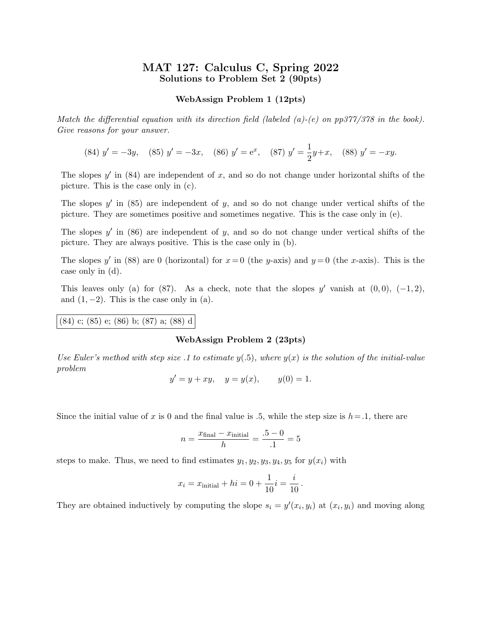# MAT 127: Calculus C, Spring 2022 Solutions to Problem Set 2 (90pts)

## WebAssign Problem 1 (12pts)

Match the differential equation with its direction field (labeled  $(a)-(e)$  on pp377/378 in the book). Give reasons for your answer.

(84) 
$$
y' = -3y
$$
, (85)  $y' = -3x$ , (86)  $y' = e^x$ , (87)  $y' = \frac{1}{2}y + x$ , (88)  $y' = -xy$ .

The slopes  $y'$  in (84) are independent of x, and so do not change under horizontal shifts of the picture. This is the case only in (c).

The slopes  $y'$  in (85) are independent of  $y$ , and so do not change under vertical shifts of the picture. They are sometimes positive and sometimes negative. This is the case only in (e).

The slopes  $y'$  in (86) are independent of  $y$ , and so do not change under vertical shifts of the picture. They are always positive. This is the case only in (b).

The slopes y' in (88) are 0 (horizontal) for  $x=0$  (the y-axis) and  $y=0$  (the x-axis). This is the case only in (d).

This leaves only (a) for (87). As a check, note that the slopes y' vanish at  $(0,0)$ ,  $(-1,2)$ , and  $(1, -2)$ . This is the case only in  $(a)$ .

(84) c; (85) e; (86) b; (87) a; (88) d

### WebAssign Problem 2 (23pts)

Use Euler's method with step size .1 to estimate  $y(0.5)$ , where  $y(x)$  is the solution of the initial-value problem

$$
y' = y + xy
$$
,  $y = y(x)$ ,  $y(0) = 1$ .

Since the initial value of x is 0 and the final value is .5, while the step size is  $h=1$ , there are

$$
n = \frac{x_{\text{final}} - x_{\text{initial}}}{h} = \frac{.5 - 0}{.1} = 5
$$

steps to make. Thus, we need to find estimates  $y_1, y_2, y_3, y_4, y_5$  for  $y(x_i)$  with

$$
x_i = x_{initial} + hi = 0 + \frac{1}{10}i = \frac{i}{10}.
$$

They are obtained inductively by computing the slope  $s_i = y'(x_i, y_i)$  at  $(x_i, y_i)$  and moving along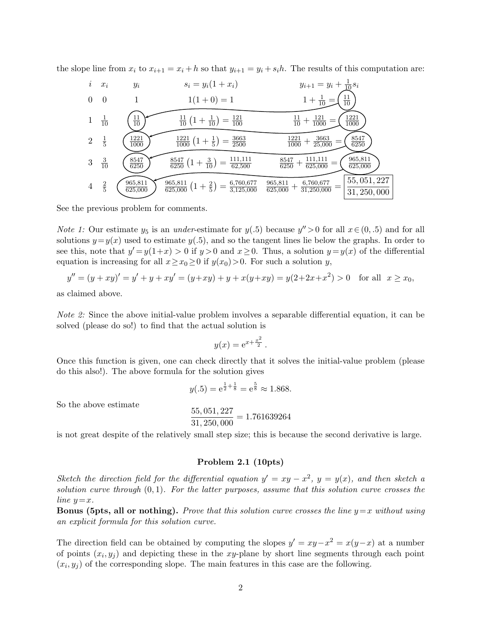the slope line from  $x_i$  to  $x_{i+1} = x_i + h$  so that  $y_{i+1} = y_i + s_i h$ . The results of this computation are:

$$
i \quad x_i \qquad y_i \qquad s_i = y_i(1+x_i) \qquad y_{i+1} = y_i + \frac{1}{10} s_i
$$
\n
$$
0 \quad 0 \qquad 1 \qquad 1(1+0) = 1 \qquad 1 + \frac{1}{10} = \left(\frac{11}{10}\right)
$$
\n
$$
1 \quad \frac{1}{10} \qquad \frac{11}{10} \qquad \frac{1}{10} \qquad 1 + \frac{1}{10} = \left(\frac{121}{10}\right)
$$
\n
$$
2 \quad \frac{1}{5} \qquad \frac{1221}{1000} \qquad \frac{1221}{1000} \qquad \frac{1221}{1000} + \frac{1}{25,000} = \left(\frac{5547}{6250}\right)
$$
\n
$$
3 \quad \frac{3}{10} \qquad \frac{8547}{6250} \qquad \frac{8547}{6250} \qquad \frac{111,111}{62500} = \left(\frac{8547}{625,000}\right)
$$
\n
$$
4 \quad \frac{2}{5} \qquad \frac{965,811}{625,000} \qquad \frac{965,811}{625,000} \qquad (1 + \frac{2}{5}) = \frac{6,760,677}{3,125,000} = \frac{965,811}{625,000} + \frac{6,760,677}{31,250,000} = \left(\frac{55,051,227}{31,250,000}\right)
$$

See the previous problem for comments.

*Note 1:* Our estimate  $y_5$  is an *under*-estimate for  $y(.5)$  because  $y'' > 0$  for all  $x \in (0, .5)$  and for all solutions  $y=y(x)$  used to estimate  $y(.5)$ , and so the tangent lines lie below the graphs. In order to see this, note that  $y'=y(1+x) > 0$  if  $y>0$  and  $x \ge 0$ . Thus, a solution  $y=y(x)$  of the differential equation is increasing for all  $x \ge x_0 \ge 0$  if  $y(x_0) > 0$ . For such a solution y,

$$
y'' = (y + xy)' = y' + y + xy' = (y + xy) + y + x(y + xy) = y(2 + 2x + x^2) > 0 \text{ for all } x \ge x_0,
$$

as claimed above.

Note 2: Since the above initial-value problem involves a separable differential equation, it can be solved (please do so!) to find that the actual solution is

$$
y(x) = e^{x + \frac{x^2}{2}}.
$$

Once this function is given, one can check directly that it solves the initial-value problem (please do this also!). The above formula for the solution gives

$$
y(.5) = e^{\frac{1}{2} + \frac{1}{8}} = e^{\frac{5}{8}} \approx 1.868.
$$

So the above estimate

$$
\frac{55,051,227}{31,250,000} = 1.761639264
$$

is not great despite of the relatively small step size; this is because the second derivative is large.

### Problem 2.1 (10pts)

Sketch the direction field for the differential equation  $y' = xy - x^2$ ,  $y = y(x)$ , and then sketch a solution curve through  $(0, 1)$ . For the latter purposes, assume that this solution curve crosses the line  $y=x$ .

**Bonus (5pts, all or nothing).** Prove that this solution curve crosses the line  $y=x$  without using an explicit formula for this solution curve.

The direction field can be obtained by computing the slopes  $y' = xy - x^2 = x(y-x)$  at a number of points  $(x_i, y_j)$  and depicting these in the xy-plane by short line segments through each point  $(x_i, y_j)$  of the corresponding slope. The main features in this case are the following.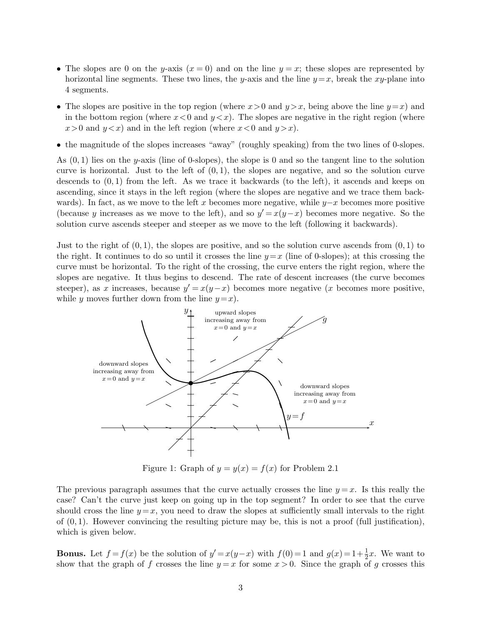- The slopes are 0 on the y-axis  $(x = 0)$  and on the line  $y = x$ ; these slopes are represented by horizontal line segments. These two lines, the y-axis and the line  $y=x$ , break the xy-plane into 4 segments.
- The slopes are positive in the top region (where  $x>0$  and  $y>x$ , being above the line  $y=x$ ) and in the bottom region (where  $x < 0$  and  $y < x$ ). The slopes are negative in the right region (where  $x>0$  and  $y < x$ ) and in the left region (where  $x < 0$  and  $y > x$ ).
- the magnitude of the slopes increases "away" (roughly speaking) from the two lines of 0-slopes.

As  $(0, 1)$  lies on the y-axis (line of 0-slopes), the slope is 0 and so the tangent line to the solution curve is horizontal. Just to the left of  $(0, 1)$ , the slopes are negative, and so the solution curve descends to  $(0, 1)$  from the left. As we trace it backwards (to the left), it ascends and keeps on ascending, since it stays in the left region (where the slopes are negative and we trace them backwards). In fact, as we move to the left x becomes more negative, while  $y-x$  becomes more positive (because y increases as we move to the left), and so  $y' = x(y-x)$  becomes more negative. So the solution curve ascends steeper and steeper as we move to the left (following it backwards).

Just to the right of  $(0, 1)$ , the slopes are positive, and so the solution curve ascends from  $(0, 1)$  to the right. It continues to do so until it crosses the line  $y=x$  (line of 0-slopes); at this crossing the curve must be horizontal. To the right of the crossing, the curve enters the right region, where the slopes are negative. It thus begins to descend. The rate of descent increases (the curve becomes steeper), as x increases, because  $y' = x(y-x)$  becomes more negative (x becomes more positive, while y moves further down from the line  $y=x$ .



Figure 1: Graph of  $y = y(x) = f(x)$  for Problem 2.1

The previous paragraph assumes that the curve actually crosses the line  $y = x$ . Is this really the case? Can't the curve just keep on going up in the top segment? In order to see that the curve should cross the line  $y = x$ , you need to draw the slopes at sufficiently small intervals to the right of  $(0, 1)$ . However convincing the resulting picture may be, this is not a proof (full justification), which is given below.

**Bonus.** Let  $f = f(x)$  be the solution of  $y' = x(y-x)$  with  $f(0) = 1$  and  $g(x) = 1 + \frac{1}{2}x$ . We want to show that the graph of f crosses the line  $y = x$  for some  $x > 0$ . Since the graph of g crosses this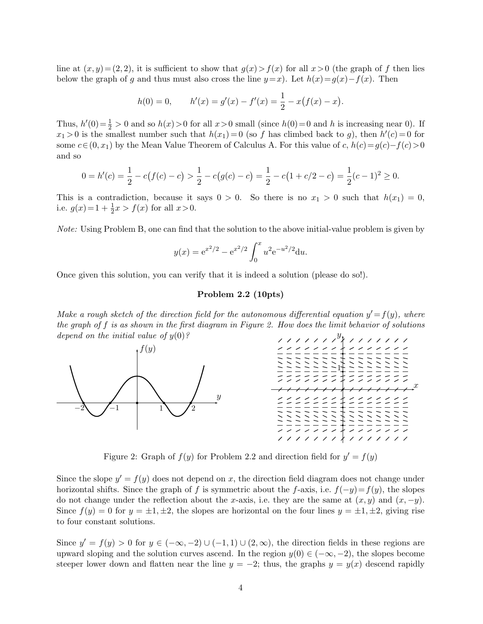line at  $(x, y) = (2, 2)$ , it is sufficient to show that  $g(x) > f(x)$  for all  $x > 0$  (the graph of f then lies below the graph of g and thus must also cross the line  $y=x$ ). Let  $h(x)=g(x)-f(x)$ . Then

$$
h(0) = 0, \qquad h'(x) = g'(x) - f'(x) = \frac{1}{2} - x(f(x) - x).
$$

Thus,  $h'(0) = \frac{1}{2} > 0$  and so  $h(x) > 0$  for all  $x > 0$  small (since  $h(0) = 0$  and h is increasing near 0). If  $x_1 > 0$  is the smallest number such that  $h(x_1) = 0$  (so f has climbed back to g), then  $h'(c) = 0$  for some  $c \in (0, x_1)$  by the Mean Value Theorem of Calculus A. For this value of c,  $h(c) = g(c) - f(c) > 0$ and so

$$
0 = h'(c) = \frac{1}{2} - c(f(c) - c) > \frac{1}{2} - c(g(c) - c) = \frac{1}{2} - c(1 + c/2 - c) = \frac{1}{2}(c - 1)^2 \ge 0.
$$

This is a contradiction, because it says  $0 > 0$ . So there is no  $x_1 > 0$  such that  $h(x_1) = 0$ , i.e.  $g(x) = 1 + \frac{1}{2}x > f(x)$  for all  $x > 0$ .

Note: Using Problem B, one can find that the solution to the above initial-value problem is given by

$$
y(x) = e^{x^2/2} - e^{x^2/2} \int_0^x u^2 e^{-u^2/2} du.
$$

Once given this solution, you can verify that it is indeed a solution (please do so!).

## Problem 2.2 (10pts)

Make a rough sketch of the direction field for the autonomous differential equation  $y' = f(y)$ , where the graph of  $f$  is as shown in the first diagram in Figure 2. How does the limit behavior of solutions depend on the initial value of  $y(0)$ ?  $\hat{y}$ 



Figure 2: Graph of  $f(y)$  for Problem 2.2 and direction field for  $y' = f(y)$ 

Since the slope  $y' = f(y)$  does not depend on x, the direction field diagram does not change under horizontal shifts. Since the graph of f is symmetric about the f-axis, i.e.  $f(-y)=f(y)$ , the slopes do not change under the reflection about the x-axis, i.e. they are the same at  $(x, y)$  and  $(x, -y)$ . Since  $f(y) = 0$  for  $y = \pm 1, \pm 2$ , the slopes are horizontal on the four lines  $y = \pm 1, \pm 2$ , giving rise to four constant solutions.

Since  $y' = f(y) > 0$  for  $y \in (-\infty, -2) \cup (-1, 1) \cup (2, \infty)$ , the direction fields in these regions are upward sloping and the solution curves ascend. In the region  $y(0) \in (-\infty, -2)$ , the slopes become steeper lower down and flatten near the line  $y = -2$ ; thus, the graphs  $y = y(x)$  descend rapidly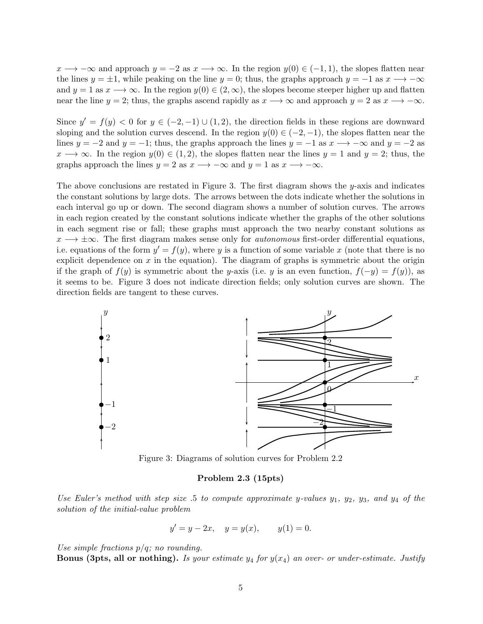$x \to -\infty$  and approach  $y = -2$  as  $x \to \infty$ . In the region  $y(0) \in (-1, 1)$ , the slopes flatten near the lines  $y = \pm 1$ , while peaking on the line  $y = 0$ ; thus, the graphs approach  $y = -1$  as  $x \rightarrow -\infty$ and  $y = 1$  as  $x \to \infty$ . In the region  $y(0) \in (2, \infty)$ , the slopes become steeper higher up and flatten near the line  $y = 2$ ; thus, the graphs ascend rapidly as  $x \rightarrow \infty$  and approach  $y = 2$  as  $x \rightarrow -\infty$ .

Since  $y' = f(y) < 0$  for  $y \in (-2, -1) \cup (1, 2)$ , the direction fields in these regions are downward sloping and the solution curves descend. In the region  $y(0) \in (-2, -1)$ , the slopes flatten near the lines  $y = -2$  and  $y = -1$ ; thus, the graphs approach the lines  $y = -1$  as  $x \rightarrow -\infty$  and  $y = -2$  as  $x \rightarrow \infty$ . In the region  $y(0) \in (1, 2)$ , the slopes flatten near the lines  $y = 1$  and  $y = 2$ ; thus, the graphs approach the lines  $y = 2$  as  $x \rightarrow -\infty$  and  $y = 1$  as  $x \rightarrow -\infty$ .

The above conclusions are restated in Figure 3. The first diagram shows the y-axis and indicates the constant solutions by large dots. The arrows between the dots indicate whether the solutions in each interval go up or down. The second diagram shows a number of solution curves. The arrows in each region created by the constant solutions indicate whether the graphs of the other solutions in each segment rise or fall; these graphs must approach the two nearby constant solutions as  $x \rightarrow \pm \infty$ . The first diagram makes sense only for *autonomous* first-order differential equations, i.e. equations of the form  $y' = f(y)$ , where y is a function of some variable x (note that there is no explicit dependence on  $x$  in the equation). The diagram of graphs is symmetric about the origin if the graph of  $f(y)$  is symmetric about the y-axis (i.e. y is an even function,  $f(-y) = f(y)$ ), as it seems to be. Figure 3 does not indicate direction fields; only solution curves are shown. The direction fields are tangent to these curves.



Figure 3: Diagrams of solution curves for Problem 2.2

#### Problem 2.3 (15pts)

Use Euler's method with step size .5 to compute approximate y-values  $y_1$ ,  $y_2$ ,  $y_3$ , and  $y_4$  of the solution of the initial-value problem

$$
y' = y - 2x
$$
,  $y = y(x)$ ,  $y(1) = 0$ .

Use simple fractions  $p/q$ ; no rounding.

**Bonus (3pts, all or nothing).** Is your estimate  $y_4$  for  $y(x_4)$  an over- or under-estimate. Justify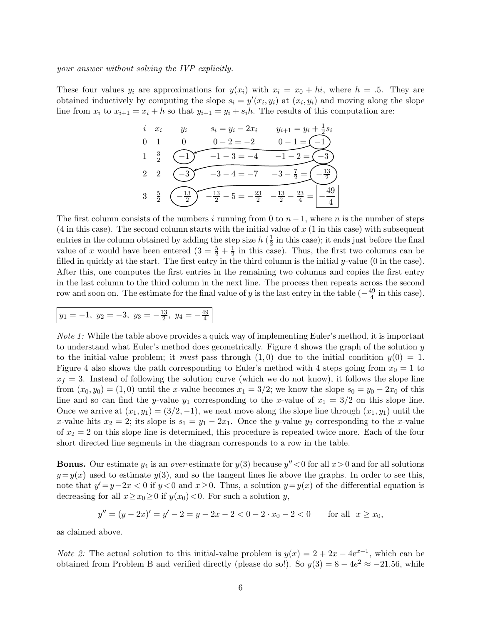your answer without solving the IVP explicitly.

These four values  $y_i$  are approximations for  $y(x_i)$  with  $x_i = x_0 + hi$ , where  $h = .5$ . They are obtained inductively by computing the slope  $s_i = y'(x_i, y_i)$  at  $(x_i, y_i)$  and moving along the slope line from  $x_i$  to  $x_{i+1} = x_i + h$  so that  $y_{i+1} = y_i + s_i h$ . The results of this computation are:

*i* 
$$
x_i
$$
  $y_i$   $s_i = y_i - 2x_i$   $y_{i+1} = y_i + \frac{1}{2}s_i$   
\n0 1 0 0-2=-2 0-1= $\begin{array}{r} -1 \\ -1 \end{array}$   
\n2 2  $\begin{array}{r} -1 \\ -3 \end{array}$   $-3-4 = -7$   $-3-\frac{7}{2} = \begin{array}{r} -\frac{13}{2} \\ -\frac{13}{2} \end{array}$   
\n3  $\frac{5}{2}$   $\begin{array}{r} -\frac{13}{2} \\ -\frac{13}{2} \end{array}$   $-5 = -\frac{23}{2}$   $-\frac{13}{2} - \frac{23}{4} = \begin{array}{r} -\frac{49}{4} \\ -\frac{49}{4} \end{array}$ 

The first column consists of the numbers i running from 0 to  $n-1$ , where n is the number of steps  $(4 \text{ in this case})$ . The second column starts with the initial value of x  $(1 \text{ in this case})$  with subsequent entries in the column obtained by adding the step size  $h\left(\frac{1}{2}\right)$  $\frac{1}{2}$  in this case); it ends just before the final value of x would have been entered  $(3 = \frac{5}{2} + \frac{1}{2})$  $\frac{1}{2}$  in this case). Thus, the first two columns can be filled in quickly at the start. The first entry in the third column is the initial y-value (0 in the case). After this, one computes the first entries in the remaining two columns and copies the first entry in the last column to the third column in the next line. The process then repeats across the second row and soon on. The estimate for the final value of y is the last entry in the table  $\left(-\frac{49}{4}\right)$  $\frac{49}{4}$  in this case).

$$
y_1 = -1, y_2 = -3, y_3 = -\frac{13}{2}, y_4 = -\frac{49}{4}
$$

Note 1: While the table above provides a quick way of implementing Euler's method, it is important to understand what Euler's method does geometrically. Figure 4 shows the graph of the solution y to the initial-value problem; it *must* pass through  $(1, 0)$  due to the initial condition  $y(0) = 1$ . Figure 4 also shows the path corresponding to Euler's method with 4 steps going from  $x_0 = 1$  to  $x_f = 3$ . Instead of following the solution curve (which we do not know), it follows the slope line from  $(x_0, y_0) = (1, 0)$  until the x-value becomes  $x_1 = 3/2$ ; we know the slope  $s_0 = y_0 - 2x_0$  of this line and so can find the y-value y<sub>1</sub> corresponding to the x-value of  $x_1 = 3/2$  on this slope line. Once we arrive at  $(x_1, y_1) = (3/2, -1)$ , we next move along the slope line through  $(x_1, y_1)$  until the x-value hits  $x_2 = 2$ ; its slope is  $s_1 = y_1 - 2x_1$ . Once the y-value  $y_2$  corresponding to the x-value of  $x_2 = 2$  on this slope line is determined, this procedure is repeated twice more. Each of the four short directed line segments in the diagram corresponds to a row in the table.

**Bonus.** Our estimate  $y_4$  is an *over*-estimate for  $y(3)$  because  $y'' < 0$  for all  $x > 0$  and for all solutions  $y=y(x)$  used to estimate  $y(3)$ , and so the tangent lines lie above the graphs. In order to see this, note that  $y'=y-2x<0$  if  $y<0$  and  $x\geq 0$ . Thus, a solution  $y=y(x)$  of the differential equation is decreasing for all  $x \geq x_0 \geq 0$  if  $y(x_0) < 0$ . For such a solution y,

$$
y'' = (y - 2x)' = y' - 2 = y - 2x - 2 < 0 - 2 \cdot x_0 - 2 < 0 \qquad \text{for all} \ \ x \ge x_0,
$$

as claimed above.

*Note 2*: The actual solution to this initial-value problem is  $y(x) = 2 + 2x - 4e^{x-1}$ , which can be obtained from Problem B and verified directly (please do so!). So  $y(3) = 8 - 4e^2 \approx -21.56$ , while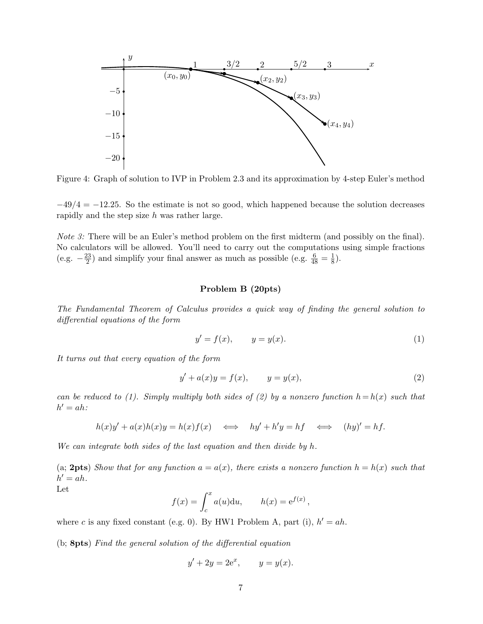

Figure 4: Graph of solution to IVP in Problem 2.3 and its approximation by 4-step Euler's method

 $-49/4 = -12.25$ . So the estimate is not so good, which happened because the solution decreases rapidly and the step size h was rather large.

Note 3: There will be an Euler's method problem on the first midterm (and possibly on the final). No calculators will be allowed. You'll need to carry out the computations using simple fractions  $(e.g. -\frac{23}{2})$  $\frac{23}{2}$ ) and simplify your final answer as much as possible (e.g.  $\frac{6}{48} = \frac{1}{8}$ )  $\frac{1}{8}$ .

#### Problem B (20pts)

The Fundamental Theorem of Calculus provides a quick way of finding the general solution to differential equations of the form

$$
y' = f(x), \qquad y = y(x). \tag{1}
$$

It turns out that every equation of the form

$$
y' + a(x)y = f(x),
$$
  $y = y(x),$  (2)

can be reduced to (1). Simply multiply both sides of (2) by a nonzero function  $h = h(x)$  such that  $h' = ah$ :

$$
h(x)y' + a(x)h(x)y = h(x)f(x) \iff hy' + h'y = hf \iff (hy)' = hf.
$$

We can integrate both sides of the last equation and then divide by h.

(a; 2pts) Show that for any function  $a = a(x)$ , there exists a nonzero function  $h = h(x)$  such that  $h' = ah$ .

$$
_{\rm Let}
$$

$$
f(x) = \int_c^x a(u) \mathrm{d}u, \qquad h(x) = e^{f(x)},
$$

where c is any fixed constant (e.g. 0). By HW1 Problem A, part (i),  $h' = ah$ .

(b; 8pts) Find the general solution of the differential equation

$$
y' + 2y = 2e^x, \qquad y = y(x).
$$